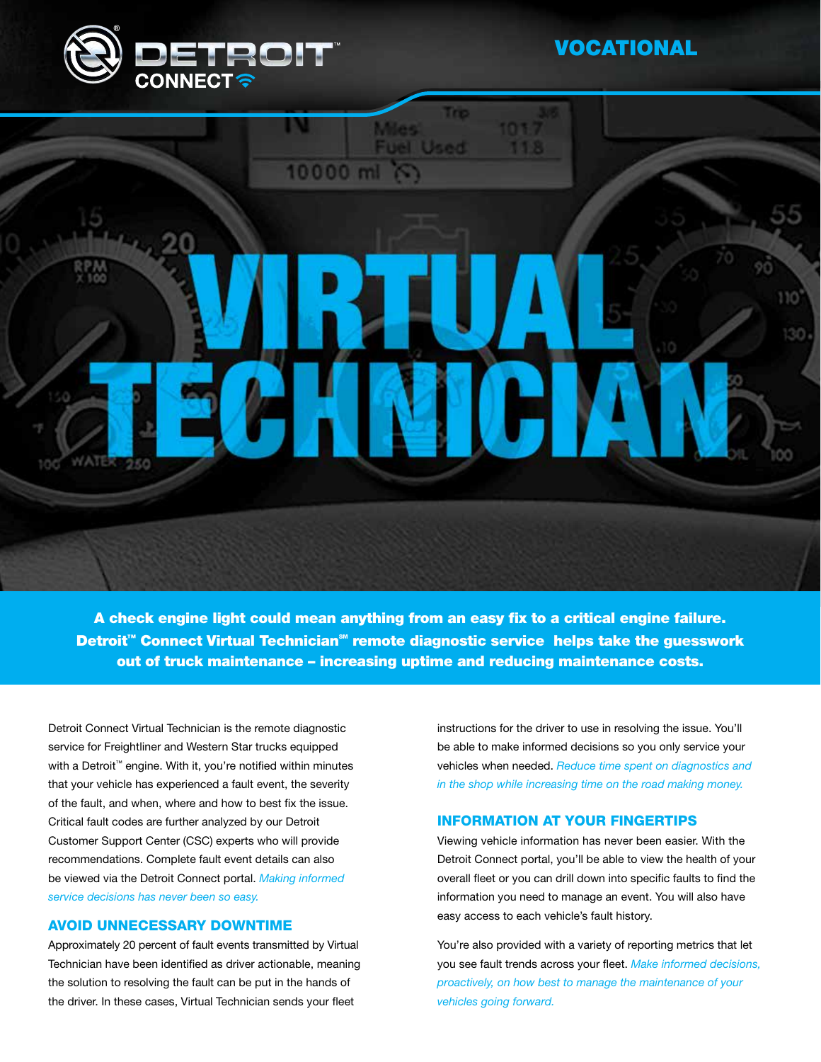

## VOCATIONAL



A check engine light could mean anything from an easy fix to a critical engine failure. Detroit<sup>™</sup> Connect Virtual Technician<sup>™</sup> remote diagnostic service helps take the guesswork out of truck maintenance – increasing uptime and reducing maintenance costs.

Detroit Connect Virtual Technician is the remote diagnostic service for Freightliner and Western Star trucks equipped with a Detroit<sup>™</sup> engine. With it, you're notified within minutes that your vehicle has experienced a fault event, the severity of the fault, and when, where and how to best fix the issue. Critical fault codes are further analyzed by our Detroit Customer Support Center (CSC) experts who will provide recommendations. Complete fault event details can also be viewed via the Detroit Connect portal. *Making informed service decisions has never been so easy.*

### AVOID UNNECESSARY DOWNTIME

Approximately 20 percent of fault events transmitted by Virtual Technician have been identified as driver actionable, meaning the solution to resolving the fault can be put in the hands of the driver. In these cases, Virtual Technician sends your fleet

instructions for the driver to use in resolving the issue. You'll be able to make informed decisions so you only service your vehicles when needed. *Reduce time spent on diagnostics and in the shop while increasing time on the road making money.*

#### INFORMATION AT YOUR FINGERTIPS

Viewing vehicle information has never been easier. With the Detroit Connect portal, you'll be able to view the health of your overall fleet or you can drill down into specific faults to find the information you need to manage an event. You will also have easy access to each vehicle's fault history.

You're also provided with a variety of reporting metrics that let you see fault trends across your fleet. *Make informed decisions, proactively, on how best to manage the maintenance of your vehicles going forward.*